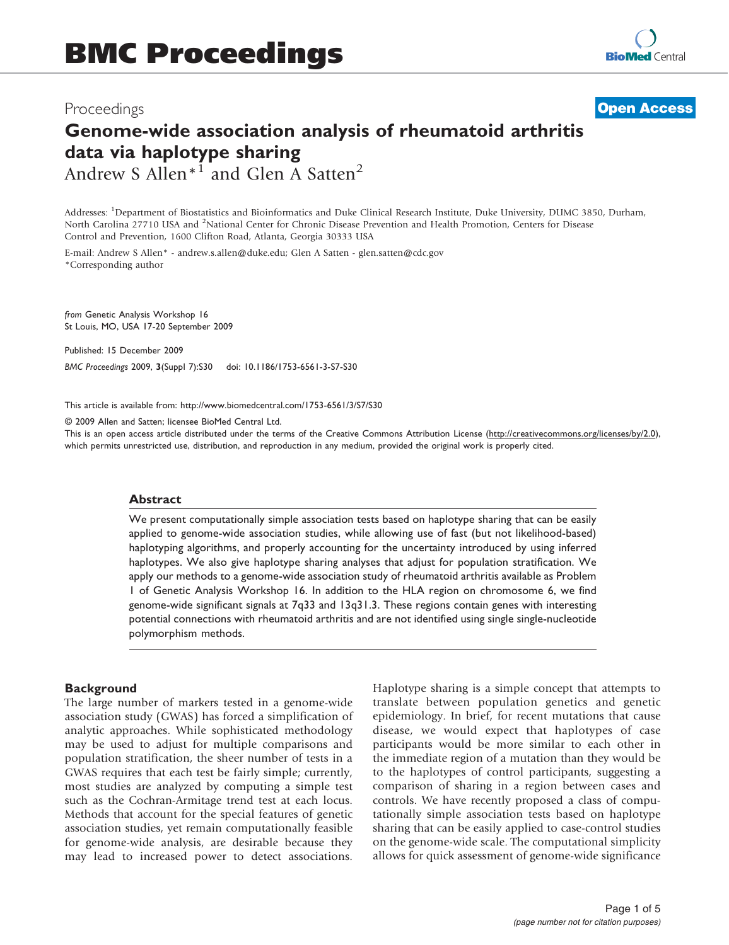## Proceedings

**[Open Access](http://www.biomedcentral.com/info/about/charter/)**

# Genome-wide association analysis of rheumatoid arthritis data via haplotype sharing Andrew S Allen $*^1$  and Glen A Satten<sup>2</sup>

Addresses: <sup>1</sup>Department of Biostatistics and Bioinformatics and Duke Clinical Research Institute, Duke University, DUMC 3850, Durham, North Carolina 27710 USA and <sup>2</sup>National Center for Chronic Disease Prevention and Health Promotion, Centers for Disease

Control and Prevention, 1600 Clifton Road, Atlanta, Georgia 30333 USA

E-mail: Andrew S Allen\* - [andrew.s.allen@duke.edu;](mailto:andrew.s.allen@duke.edu) Glen A Satten - [glen.satten@cdc.gov](mailto:glen.satten@cdc.gov) \*Corresponding author

from Genetic Analysis Workshop 16 St Louis, MO, USA 17-20 September 2009

Published: 15 December 2009

BMC Proceedings 2009, 3(Suppl 7):S30 doi: 10.1186/1753-6561-3-S7-S30

This article is available from: http://www.biomedcentral.com/1753-6561/3/S7/S30

© 2009 Allen and Satten; licensee BioMed Central Ltd.

This is an open access article distributed under the terms of the Creative Commons Attribution License [\(http://creativecommons.org/licenses/by/2.0\)](http://creativecommons.org/licenses/by/2.0), which permits unrestricted use, distribution, and reproduction in any medium, provided the original work is properly cited.

#### Abstract

We present computationally simple association tests based on haplotype sharing that can be easily applied to genome-wide association studies, while allowing use of fast (but not likelihood-based) haplotyping algorithms, and properly accounting for the uncertainty introduced by using inferred haplotypes. We also give haplotype sharing analyses that adjust for population stratification. We apply our methods to a genome-wide association study of rheumatoid arthritis available as Problem 1 of Genetic Analysis Workshop 16. In addition to the HLA region on chromosome 6, we find genome-wide significant signals at 7q33 and 13q31.3. These regions contain genes with interesting potential connections with rheumatoid arthritis and are not identified using single single-nucleotide polymorphism methods.

#### **Background**

The large number of markers tested in a genome-wide association study (GWAS) has forced a simplification of analytic approaches. While sophisticated methodology may be used to adjust for multiple comparisons and population stratification, the sheer number of tests in a GWAS requires that each test be fairly simple; currently, most studies are analyzed by computing a simple test such as the Cochran-Armitage trend test at each locus. Methods that account for the special features of genetic association studies, yet remain computationally feasible for genome-wide analysis, are desirable because they may lead to increased power to detect associations. Haplotype sharing is a simple concept that attempts to translate between population genetics and genetic epidemiology. In brief, for recent mutations that cause disease, we would expect that haplotypes of case participants would be more similar to each other in the immediate region of a mutation than they would be to the haplotypes of control participants, suggesting a comparison of sharing in a region between cases and controls. We have recently proposed a class of computationally simple association tests based on haplotype sharing that can be easily applied to case-control studies on the genome-wide scale. The computational simplicity allows for quick assessment of genome-wide significance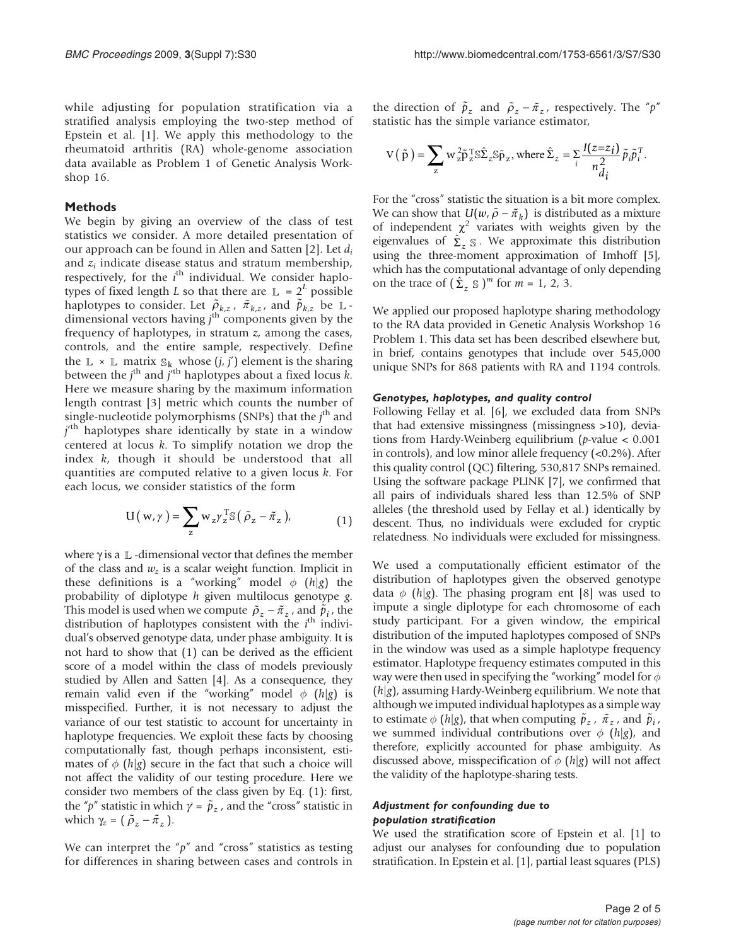while adjusting for population stratification via a stratified analysis employing the two-step method of Epstein et al. [[1](#page-3-0)]. We apply this methodology to the rheumatoid arthritis (RA) whole-genome association data available as Problem 1 of Genetic Analysis Workshop 16.

#### Methods

We begin by giving an overview of the class of test statistics we consider. A more detailed presentation of our approach can be found in Allen and Satten [[2](#page-3-0)]. Let  $d_i$ and  $z_i$  indicate disease status and stratum membership, respectively, for the  $i^{\text{th}}$  individual. We consider haplotypes of fixed length L so that there are  $\mathbb{L} = 2^L$  possible haplotypes to consider. Let  $\tilde{\rho}_{k,z}$ ,  $\tilde{\pi}_{k,z}$ , and  $\tilde{\rho}_{k,z}$  be  $\mathbb{L}$ dimensional vectors having  $j<sup>th</sup>$  components given by the frequency of haplotypes, in stratum  $z$ , among the cases, controls, and the entire sample, respectively. Define the  $\mathbb{L} \times \mathbb{L}$  matrix  $\mathbb{S}_k$  whose  $(j, j')$  element is the sharing between the j<sup>th</sup> and j<sup>th</sup> haplotypes about a fixed locus k. Here we measure sharing by the maximum information length contrast [\[3\]](#page-3-0) metric which counts the number of single-nucleotide polymorphisms (SNPs) that the  $j<sup>th</sup>$  and j<sup>th</sup> haplotypes share identically by state in a window centered at locus  $k$ . To simplify notation we drop the index  $k$ , though it should be understood that all quantities are computed relative to a given locus  $k$ . For each locus, we consider statistics of the form

$$
U(w, \gamma) = \sum_{z} w_{z} \gamma_{z}^{T} S(\tilde{\rho}_{z} - \tilde{\pi}_{z}), \qquad (1)
$$

where  $\gamma$  is a  $\mathbb L$  -dimensional vector that defines the member of the class and  $w_z$  is a scalar weight function. Implicit in these definitions is a "working" model  $\phi$  (h|g) the probability of diplotype  $h$  given multilocus genotype  $g$ . This model is used when we compute  $\tilde{\rho}_z - \tilde{\pi}_z$ , and  $\tilde{\tilde{p}}_i$ , the distribution of haplotypes consistent with the  $i^{\text{th}}$  individual's observed genotype data, under phase ambiguity. It is not hard to show that (1) can be derived as the efficient score of a model within the class of models previously studied by Allen and Satten [\[4](#page-3-0)]. As a consequence, they remain valid even if the "working" model  $\phi$  (h|g) is misspecified. Further, it is not necessary to adjust the variance of our test statistic to account for uncertainty in haplotype frequencies. We exploit these facts by choosing computationally fast, though perhaps inconsistent, estimates of  $\phi$  (h|g) secure in the fact that such a choice will not affect the validity of our testing procedure. Here we consider two members of the class given by Eq. (1): first, the "*p*" statistic in which  $\gamma = \tilde{p}_z$ , and the "cross" statistic in which  $\gamma_z = (\tilde{\rho}_z - \tilde{\pi}_z)$ .

We can interpret the " $p$ " and "cross" statistics as testing for differences in sharing between cases and controls in

the direction of  $\tilde{p}_z$  and  $\tilde{p}_z - \tilde{\pi}_z$ , respectively. The "p" statistic has the simple variance estimator,

$$
V(\tilde{p}) = \sum_{z} w_{z}^{2} \tilde{p}_{z}^{T} S \hat{\Sigma}_{z} S \tilde{p}_{z}, \text{ where } \hat{\Sigma}_{z} = \sum_{i} \frac{I(z=z_{i})}{n_{di}^{2}} \tilde{p}_{i} \tilde{p}_{i}^{T}.
$$

For the "cross" statistic the situation is a bit more complex. We can show that  $U(w, \tilde{\rho} - \tilde{\pi}_k)$  is distributed as a mixture of independent  $\chi^2$  variates with weights given by the eigenvalues of  $\hat{\Sigma}_z$  *s*. We approximate this distribution using the three-moment approximation of Imhoff [\[5](#page-3-0)], which has the computational advantage of only depending on the trace of  $(\hat{\Sigma}_z \otimes)^m$  for  $m = 1, 2, 3$ .

We applied our proposed haplotype sharing methodology to the RA data provided in Genetic Analysis Workshop 16 Problem 1. This data set has been described elsewhere but, in brief, contains genotypes that include over 545,000 unique SNPs for 868 patients with RA and 1194 controls.

#### Genotypes, haplotypes, and quality control

Following Fellay et al. [\[6\]](#page-3-0), we excluded data from SNPs that had extensive missingness (missingness >10), deviations from Hardy-Weinberg equilibrium (p-value < 0.001 in controls), and low minor allele frequency (<0.2%). After this quality control (QC) filtering, 530,817 SNPs remained. Using the software package PLINK [\[7\]](#page-3-0), we confirmed that all pairs of individuals shared less than 12.5% of SNP alleles (the threshold used by Fellay et al.) identically by descent. Thus, no individuals were excluded for cryptic relatedness. No individuals were excluded for missingness.

We used a computationally efficient estimator of the distribution of haplotypes given the observed genotype data  $\phi$  (h|g). The phasing program ent [\[8](#page-3-0)] was used to impute a single diplotype for each chromosome of each study participant. For a given window, the empirical distribution of the imputed haplotypes composed of SNPs in the window was used as a simple haplotype frequency estimator. Haplotype frequency estimates computed in this way were then used in specifying the "working" model for  $\phi$  $(h|g)$ , assuming Hardy-Weinberg equilibrium. We note that although we imputed individual haplotypes as a simple way to estimate  $\phi$  (h|g), that when computing  $\tilde{p}_z$ ,  $\tilde{\pi}_z$ , and  $\tilde{p}_i$ , we summed individual contributions over  $\phi$  (h|g), and therefore, explicitly accounted for phase ambiguity. As discussed above, misspecification of  $\phi$  (h|g) will not affect the validity of the haplotype-sharing tests.

#### Adjustment for confounding due to population stratification

We used the stratification score of Epstein et al. [\[1](#page-3-0)] to adjust our analyses for confounding due to population stratification. In Epstein et al. [[1\]](#page-3-0), partial least squares (PLS)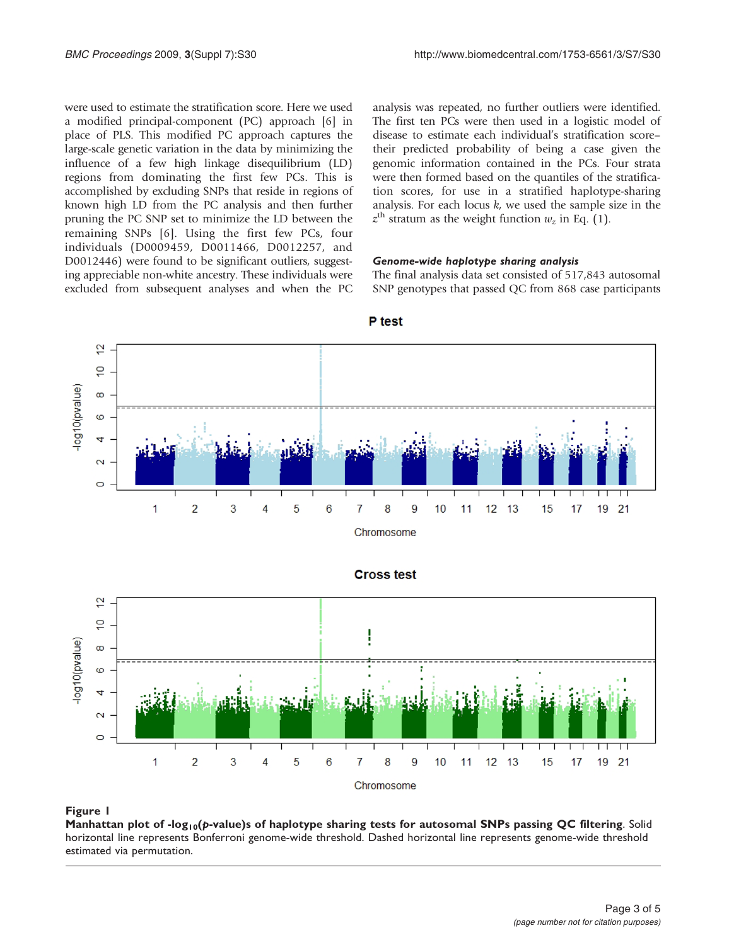<span id="page-2-0"></span>were used to estimate the stratification score. Here we used a modified principal-component (PC) approach [[6\]](#page-3-0) in place of PLS. This modified PC approach captures the large-scale genetic variation in the data by minimizing the influence of a few high linkage disequilibrium (LD) regions from dominating the first few PCs. This is accomplished by excluding SNPs that reside in regions of known high LD from the PC analysis and then further pruning the PC SNP set to minimize the LD between the remaining SNPs [[6](#page-3-0)]. Using the first few PCs, four individuals (D0009459, D0011466, D0012257, and D0012446) were found to be significant outliers, suggesting appreciable non-white ancestry. These individuals were excluded from subsequent analyses and when the PC analysis was repeated, no further outliers were identified. The first ten PCs were then used in a logistic model of disease to estimate each individual's stratification score– their predicted probability of being a case given the genomic information contained in the PCs. Four strata were then formed based on the quantiles of the stratification scores, for use in a stratified haplotype-sharing analysis. For each locus  $k$ , we used the sample size in the  $z^{\text{th}}$  stratum as the weight function  $w_z$  in Eq. (1).

#### Genome-wide haplotype sharing analysis

The final analysis data set consisted of 517,843 autosomal SNP genotypes that passed QC from 868 case participants



P test





#### Figure 1

Manhattan plot of -log<sub>10</sub>(p-value)s of haplotype sharing tests for autosomal SNPs passing QC filtering. Solid horizontal line represents Bonferroni genome-wide threshold. Dashed horizontal line represents genome-wide threshold estimated via permutation.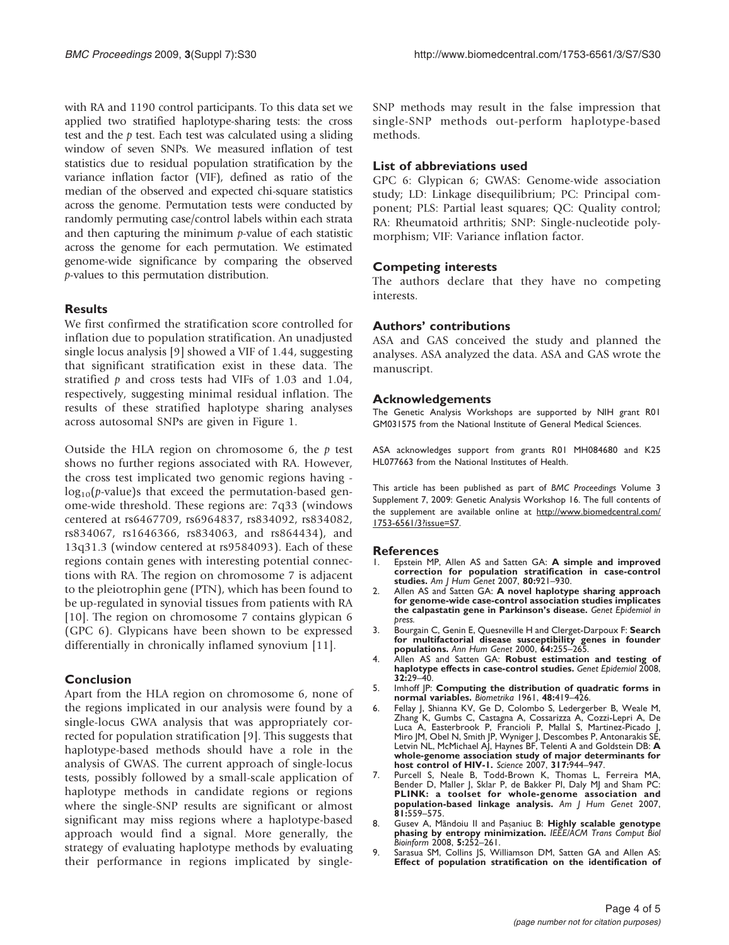<span id="page-3-0"></span>with RA and 1190 control participants. To this data set we applied two stratified haplotype-sharing tests: the cross test and the p test. Each test was calculated using a sliding window of seven SNPs. We measured inflation of test statistics due to residual population stratification by the variance inflation factor (VIF), defined as ratio of the median of the observed and expected chi-square statistics across the genome. Permutation tests were conducted by randomly permuting case/control labels within each strata and then capturing the minimum  $p$ -value of each statistic across the genome for each permutation. We estimated genome-wide significance by comparing the observed p-values to this permutation distribution.

## **Results**

We first confirmed the stratification score controlled for inflation due to population stratification. An unadjusted single locus analysis [9] showed a VIF of 1.44, suggesting that significant stratification exist in these data. The stratified  $p$  and cross tests had VIFs of 1.03 and 1.04, respectively, suggesting minimal residual inflation. The results of these stratified haplotype sharing analyses across autosomal SNPs are given in [Figure 1.](#page-2-0)

Outside the HLA region on chromosome 6, the  $p$  test shows no further regions associated with RA. However, the cross test implicated two genomic regions having  $log_{10}(p$ -value)s that exceed the permutation-based genome-wide threshold. These regions are: 7q33 (windows centered at rs6467709, rs6964837, rs834092, rs834082, rs834067, rs1646366, rs834063, and rs864434), and 13q31.3 (window centered at rs9584093). Each of these regions contain genes with interesting potential connections with RA. The region on chromosome 7 is adjacent to the pleiotrophin gene (PTN), which has been found to be up-regulated in synovial tissues from patients with RA [[10\]](#page-4-0). The region on chromosome 7 contains glypican 6 (GPC 6). Glypicans have been shown to be expressed differentially in chronically inflamed synovium [[11\]](#page-4-0).

## Conclusion

Apart from the HLA region on chromosome 6, none of the regions implicated in our analysis were found by a single-locus GWA analysis that was appropriately corrected for population stratification [9]. This suggests that haplotype-based methods should have a role in the analysis of GWAS. The current approach of single-locus tests, possibly followed by a small-scale application of haplotype methods in candidate regions or regions where the single-SNP results are significant or almost significant may miss regions where a haplotype-based approach would find a signal. More generally, the strategy of evaluating haplotype methods by evaluating their performance in regions implicated by singleSNP methods may result in the false impression that single-SNP methods out-perform haplotype-based methods.

## List of abbreviations used

GPC 6: Glypican 6; GWAS: Genome-wide association study; LD: Linkage disequilibrium; PC: Principal component; PLS: Partial least squares; QC: Quality control; RA: Rheumatoid arthritis; SNP: Single-nucleotide polymorphism; VIF: Variance inflation factor.

## Competing interests

The authors declare that they have no competing interests.

## Authors' contributions

ASA and GAS conceived the study and planned the analyses. ASA analyzed the data. ASA and GAS wrote the manuscript.

## Acknowledgements

The Genetic Analysis Workshops are supported by NIH grant R01 GM031575 from the National Institute of General Medical Sciences.

ASA acknowledges support from grants R01 MH084680 and K25 HL077663 from the National Institutes of Health.

This article has been published as part of BMC Proceedings Volume 3 Supplement 7, 2009: Genetic Analysis Workshop 16. The full contents of the supplement are available online at [http://www.biomedcentral.com/](http://www.biomedcentral.com/1753-6561/3?issue=S7) [1753-6561/3?issue=S7](http://www.biomedcentral.com/1753-6561/3?issue=S7).

#### **References**

- Epstein MP, Allen AS and Satten GA: [A simple and improved](http://www.ncbi.nlm.nih.gov/pubmed/17436246?dopt=Abstract) [correction for population stratification in case-control](http://www.ncbi.nlm.nih.gov/pubmed/17436246?dopt=Abstract) [studies.](http://www.ncbi.nlm.nih.gov/pubmed/17436246?dopt=Abstract) Am J Hum Genet 2007, 80:921–930.
- 2. Allen AS and Satten GA: A novel haplotype sharing approach for genome-wide case-control association studies implicates the calpastatin gene in Parkinson's disease. Genet Epidemiol in bress.
- 3. Bourgain C, Genin E, Quesneville H and Clerget-Darpoux F: [Search](http://www.ncbi.nlm.nih.gov/pubmed/11409410?dopt=Abstract) [for multifactorial disease susceptibility genes in founder](http://www.ncbi.nlm.nih.gov/pubmed/11409410?dopt=Abstract) [populations.](http://www.ncbi.nlm.nih.gov/pubmed/11409410?dopt=Abstract) Ann Hum Genet 2000, 64:255–265.
- 4. Allen AS and Satten GA: [Robust estimation and testing of](http://www.ncbi.nlm.nih.gov/pubmed/17948229?dopt=Abstract) [haplotype effects in case-control studies.](http://www.ncbi.nlm.nih.gov/pubmed/17948229?dopt=Abstract) Genet Epidemiol 2008, 32:29–40.
- 5. Imhoff JP: Computing the distribution of quadratic forms in normal variables. Biometrika 1961, 48:419–426.
- 6. Fellay J, Shianna KV, Ge D, Colombo S, Ledergerber B, Weale M, Zhang K, Gumbs C, Castagna A, Cossarizza A, Cozzi-Lepri A, De Luca A, Easterbrook P, Francioli P, Mallal S, Martinez-Picado J, Miro JM, Obel N, Smith JP, Wyniger J, Descombes P, Antonarakis SE, Letvin NL, McMichael AJ, Haynes BF, Telenti A and Goldstein DB: [A](http://www.ncbi.nlm.nih.gov/pubmed/17641165?dopt=Abstract) [whole-genome association study of major determinants for](http://www.ncbi.nlm.nih.gov/pubmed/17641165?dopt=Abstract) [host control of HIV-1.](http://www.ncbi.nlm.nih.gov/pubmed/17641165?dopt=Abstract) Science 2007, 317:944-947.
- 7. Purcell S, Neale B, Todd-Brown K, Thomas L, Ferreira MA.<br>Bender D, Maller J, Sklar P, de Bakker PI, Daly MJ and Sham PC.<br>**[PLINK: a toolset for whole-genome association and](http://www.ncbi.nlm.nih.gov/pubmed/17701901?dopt=Abstract) [population-based linkage analysis.](http://www.ncbi.nlm.nih.gov/pubmed/17701901?dopt=Abstract)** Am J Hum Ge 81:559–575.
- 8. Gusev A, Mãndoiu II and Pașaniuc B: [Highly scalable genotype](http://www.ncbi.nlm.nih.gov/pubmed/18451434?dopt=Abstract) [phasing by entropy minimization.](http://www.ncbi.nlm.nih.gov/pubmed/18451434?dopt=Abstract) IEEE/ACM Trans Comput Bio.<br>Bioinform 2008, 5:252–261.
- 9. Sarasua SM, Collins JS, Williamson DM, Satten GA and Allen AS: Effect of population stratification on the identification of